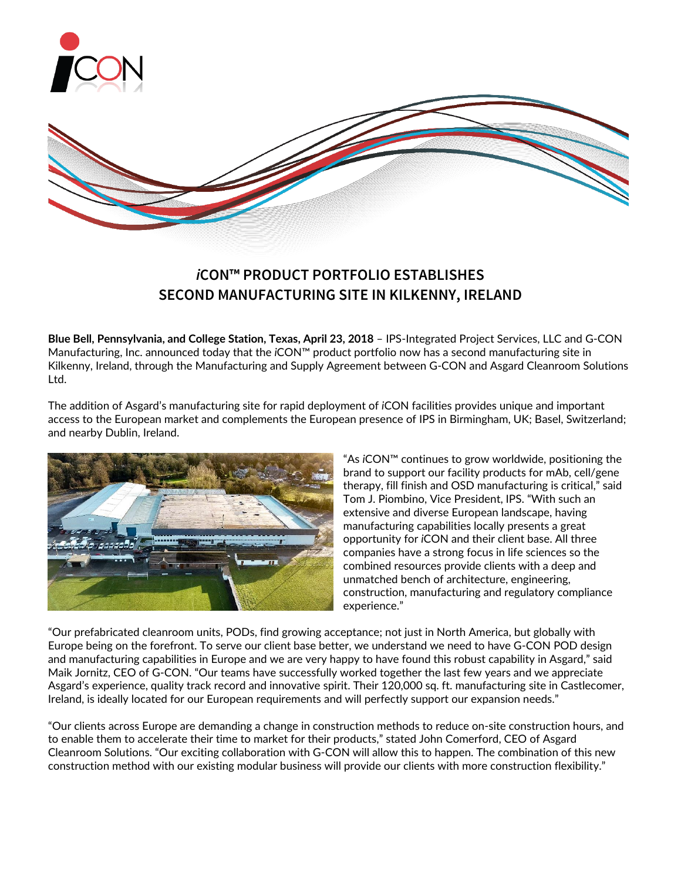

# *i***CON™ PRODUCT PORTFOLIO ESTABLISHES SECOND MANUFACTURING SITE IN KILKENNY, IRELAND**

**Blue Bell, Pennsylvania, and College Station, Texas, April 23, 2018** – IPS-Integrated Project Services, LLC and G-CON Manufacturing, Inc. announced today that the *i*CON™ product portfolio now has a second manufacturing site in Kilkenny, Ireland, through the Manufacturing and Supply Agreement between G-CON and Asgard Cleanroom Solutions Ltd.

The addition of Asgard's manufacturing site for rapid deployment of *i*CON facilities provides unique and important access to the European market and complements the European presence of IPS in Birmingham, UK; Basel, Switzerland; and nearby Dublin, Ireland.



"As *i*CON™ continues to grow worldwide, positioning the brand to support our facility products for mAb, cell/gene therapy, fill finish and OSD manufacturing is critical," said Tom J. Piombino, Vice President, IPS. "With such an extensive and diverse European landscape, having manufacturing capabilities locally presents a great opportunity for *i*CON and their client base. All three companies have a strong focus in life sciences so the combined resources provide clients with a deep and unmatched bench of architecture, engineering, construction, manufacturing and regulatory compliance experience."

"Our prefabricated cleanroom units, PODs, find growing acceptance; not just in North America, but globally with Europe being on the forefront. To serve our client base better, we understand we need to have G-CON POD design and manufacturing capabilities in Europe and we are very happy to have found this robust capability in Asgard," said Maik Jornitz, CEO of G-CON. "Our teams have successfully worked together the last few years and we appreciate Asgard's experience, quality track record and innovative spirit. Their 120,000 sq. ft. manufacturing site in Castlecomer, Ireland, is ideally located for our European requirements and will perfectly support our expansion needs."

"Our clients across Europe are demanding a change in construction methods to reduce on-site construction hours, and to enable them to accelerate their time to market for their products," stated John Comerford, CEO of Asgard Cleanroom Solutions. "Our exciting collaboration with G-CON will allow this to happen. The combination of this new construction method with our existing modular business will provide our clients with more construction flexibility."